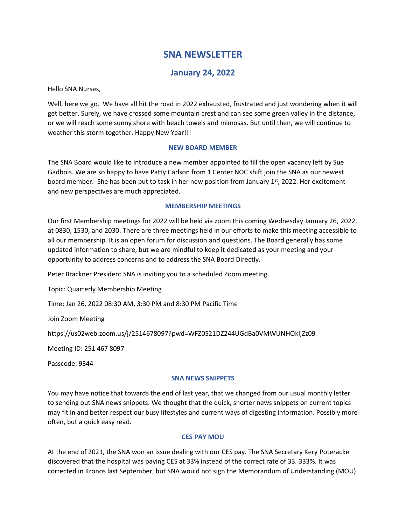# **SNA NEWSLETTER**

# **January 24, 2022**

Hello SNA Nurses,

Well, here we go. We have all hit the road in 2022 exhausted, frustrated and just wondering when it will get better. Surely, we have crossed some mountain crest and can see some green valley in the distance, or we will reach some sunny shore with beach towels and mimosas. But until then, we will continue to weather this storm together. Happy New Year!!!

# **NEW BOARD MEMBER**

The SNA Board would like to introduce a new member appointed to fill the open vacancy left by Sue Gadbois. We are so happy to have Patty Carlson from 1 Center NOC shift join the SNA as our newest board member. She has been put to task in her new position from January  $1<sup>st</sup>$ , 2022. Her excitement and new perspectives are much appreciated.

# **MEMBERSHIP MEETINGS**

Our first Membership meetings for 2022 will be held via zoom this coming Wednesday January 26, 2022, at 0830, 1530, and 2030. There are three meetings held in our efforts to make this meeting accessible to all our membership. It is an open forum for discussion and questions. The Board generally has some updated information to share, but we are mindful to keep it dedicated as your meeting and your opportunity to address concerns and to address the SNA Board Directly.

Peter Brackner President SNA is inviting you to a scheduled Zoom meeting.

Topic: Quarterly Membership Meeting

Time: Jan 26, 2022 08:30 AM, 3:30 PM and 8:30 PM Pacific Time

Join Zoom Meeting

https://us02web.zoom.us/j/2514678097?pwd=WFZ0S21DZ244UGdBa0VMWUNHQkljZz09

Meeting ID: 251 467 8097

Passcode: 9344

#### **SNA NEWS SNIPPETS**

You may have notice that towards the end of last year, that we changed from our usual monthly letter to sending out SNA news snippets. We thought that the quick, shorter news snippets on current topics may fit in and better respect our busy lifestyles and current ways of digesting information. Possibly more often, but a quick easy read.

# **CES PAY MOU**

At the end of 2021, the SNA won an issue dealing with our CES pay. The SNA Secretary Kery Poteracke discovered that the hospital was paying CES at 33% instead of the correct rate of 33. 333%. It was corrected in Kronos last September, but SNA would not sign the Memorandum of Understanding (MOU)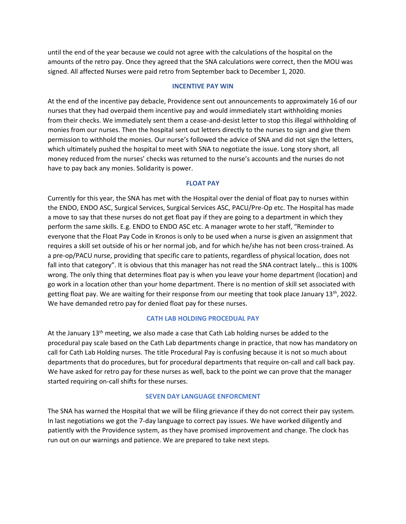until the end of the year because we could not agree with the calculations of the hospital on the amounts of the retro pay. Once they agreed that the SNA calculations were correct, then the MOU was signed. All affected Nurses were paid retro from September back to December 1, 2020.

#### **INCENTIVE PAY WIN**

At the end of the incentive pay debacle, Providence sent out announcements to approximately 16 of our nurses that they had overpaid them incentive pay and would immediately start withholding monies from their checks. We immediately sent them a cease-and-desist letter to stop this illegal withholding of monies from our nurses. Then the hospital sent out letters directly to the nurses to sign and give them permission to withhold the monies. Our nurse's followed the advice of SNA and did not sign the letters, which ultimately pushed the hospital to meet with SNA to negotiate the issue. Long story short, all money reduced from the nurses' checks was returned to the nurse's accounts and the nurses do not have to pay back any monies. Solidarity is power.

#### **FLOAT PAY**

Currently for this year, the SNA has met with the Hospital over the denial of float pay to nurses within the ENDO, ENDO ASC, Surgical Services, Surgical Services ASC, PACU/Pre-Op etc. The Hospital has made a move to say that these nurses do not get float pay if they are going to a department in which they perform the same skills. E.g. ENDO to ENDO ASC etc. A manager wrote to her staff, "Reminder to everyone that the Float Pay Code in Kronos is only to be used when a nurse is given an assignment that requires a skill set outside of his or her normal job, and for which he/she has not been cross-trained. As a pre-op/PACU nurse, providing that specific care to patients, regardless of physical location, does not fall into that category". It is obvious that this manager has not read the SNA contract lately... this is 100% wrong. The only thing that determines float pay is when you leave your home department (location) and go work in a location other than your home department. There is no mention of skill set associated with getting float pay. We are waiting for their response from our meeting that took place January 13<sup>th</sup>, 2022. We have demanded retro pay for denied float pay for these nurses.

# **CATH LAB HOLDING PROCEDUAL PAY**

At the January  $13<sup>th</sup>$  meeting, we also made a case that Cath Lab holding nurses be added to the procedural pay scale based on the Cath Lab departments change in practice, that now has mandatory on call for Cath Lab Holding nurses. The title Procedural Pay is confusing because it is not so much about departments that do procedures, but for procedural departments that require on-call and call back pay. We have asked for retro pay for these nurses as well, back to the point we can prove that the manager started requiring on-call shifts for these nurses.

#### **SEVEN DAY LANGUAGE ENFORCMENT**

The SNA has warned the Hospital that we will be filing grievance if they do not correct their pay system. In last negotiations we got the 7-day language to correct pay issues. We have worked diligently and patiently with the Providence system, as they have promised improvement and change. The clock has run out on our warnings and patience. We are prepared to take next steps.